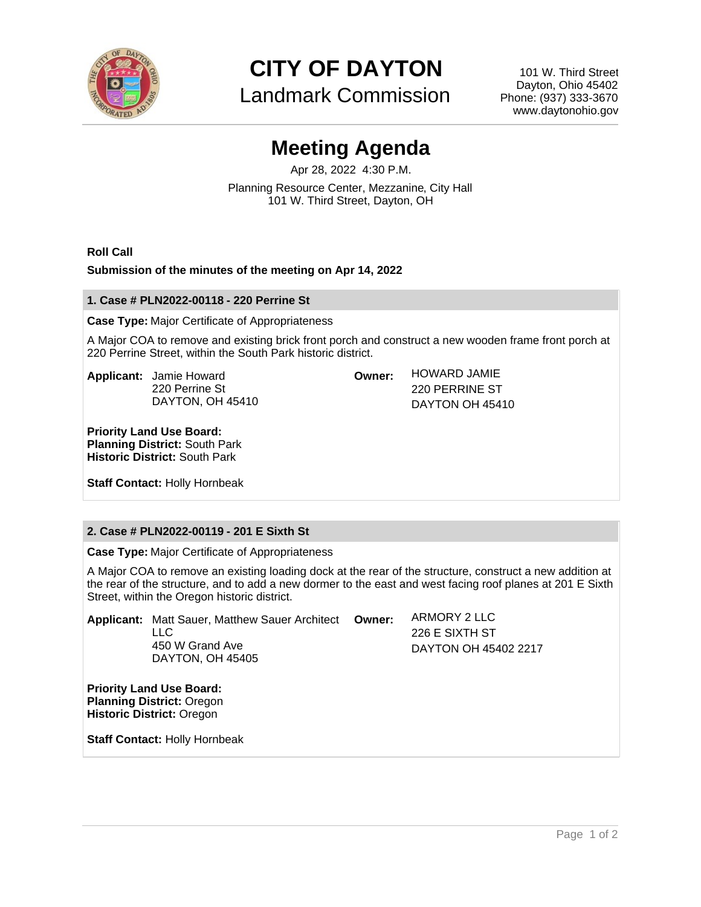

**CITY OF DAYTON**

Landmark Commission

101 W. Third Street Dayton, Ohio 45402 Phone: (937) 333-3670 www.daytonohio.gov

# **Meeting Agenda**

Apr 28, 2022 4:30 P.M. Planning Resource Center, Mezzanine, City Hall 101 W. Third Street, Dayton, OH

**Roll Call**

## **Submission of the minutes of the meeting on Apr 14, 2022**

### **1. Case # PLN2022-00118 - 220 Perrine St**

**Case Type:** Major Certificate of Appropriateness

A Major COA to remove and existing brick front porch and construct a new wooden frame front porch at 220 Perrine Street, within the South Park historic district.

**Owner:** HOWARD JAMIE

220 PERRINE ST DAYTON OH 45410

**Applicant:** Jamie Howard 220 Perrine St DAYTON, OH 45410

**Priority Land Use Board: Planning District:** South Park **Historic District:** South Park

**Staff Contact:** Holly Hornbeak

# **2. Case # PLN2022-00119 - 201 E Sixth St**

**Case Type:** Major Certificate of Appropriateness

A Major COA to remove an existing loading dock at the rear of the structure, construct a new addition at the rear of the structure, and to add a new dormer to the east and west facing roof planes at 201 E Sixth Street, within the Oregon historic district.

|                                 | <b>Applicant:</b> Matt Sauer, Matthew Sauer Architect<br>II C<br>450 W Grand Ave<br>DAYTON, OH 45405 | Owner: | ARMORY 2 LLC<br>226 E SIXTH ST<br>DAYTON OH 45402 2217 |
|---------------------------------|------------------------------------------------------------------------------------------------------|--------|--------------------------------------------------------|
| <b>Priority Land Use Board:</b> |                                                                                                      |        |                                                        |

**Planning District:** Oregon **Historic District:** Oregon

**Staff Contact:** Holly Hornbeak